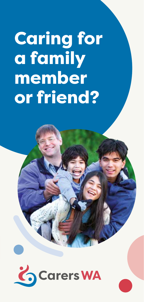# Caring for a family member or friend?

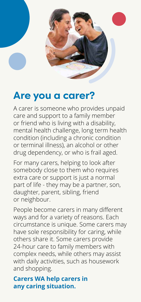

### **Are you a carer?**

A carer is someone who provides unpaid care and support to a family member or friend who is living with a disability, mental health challenge, long term health condition (including a chronic condition or terminal illness), an alcohol or other drug dependency, or who is frail aged.

For many carers, helping to look after somebody close to them who requires extra care or support is just a normal part of life - they may be a partner, son, daughter, parent, sibling, friend or neighbour.

People become carers in many different ways and for a variety of reasons. Each circumstance is unique. Some carers may have sole responsibility for caring, while others share it. Some carers provide 24-hour care to family members with complex needs, while others may assist with daily activities, such as housework and shopping.

#### **Carers WA help carers in any caring situation.**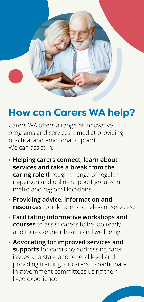

## **How can Carers WA help?**

Carers WA offers a range of innovative programs and services aimed at providing practical and emotional support. We can assist in:

- **• Helping carers connect, learn about services and take a break from the caring role** through a range of regular in-person and online support groups in metro and regional locations.
- **• Providing advice, information and resources** to link carers to relevant services.
- **• Facilitating informative workshops and courses** to assist carers to be job ready and increase their health and wellbeing.
- **• Advocating for improved services and supports** for carers by addressing carer issues at a state and federal level and providing training for carers to participate in government committees using their lived experience.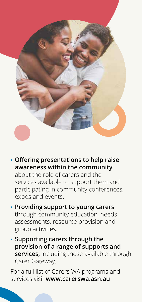

- **• Offering presentations to help raise awareness within the community**  about the role of carers and the services available to support them and participating in community conferences, expos and events.
- **• Providing support to young carers**  through community education, needs assessments, resource provision and group activities.
- **• Supporting carers through the provision of a range of supports and services,** including those available through Carer Gateway.

For a full list of Carers WA programs and services visit **www.carerswa.asn.au**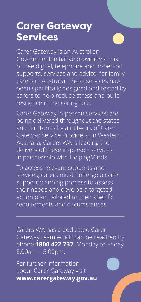## **Carer Gateway Services**



Carer Gateway is an Australian Government initiative providing a mix of free digital, telephone and in-person supports, services and advice, for family carers in Australia. These services have been specifically designed and tested by carers to help reduce stress and build resilience in the caring role.

Carer Gateway in-person services are being delivered throughout the states and territories by a network of Carer Gateway Service Providers. In Western Australia, Carers WA is leading the delivery of these in-person services, in partnership with HelpingMinds.

To access relevant supports and services, carers must undergo a carer support planning process to assess their needs and develop a targeted action plan, tailored to their specific requirements and circumstances.

Carers WA has a dedicated Carer Gateway team which can be reached by phone **1800 422 737**, Monday to Friday 8.00am – 5.00pm.

For further information about Carer Gateway visit **www.carergateway.gov.au**